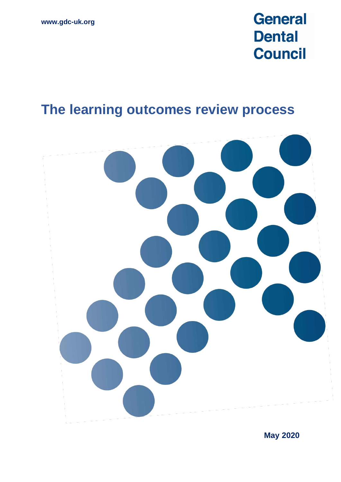# **General Dental Council**

# **The learning outcomes review process**



**May 2020**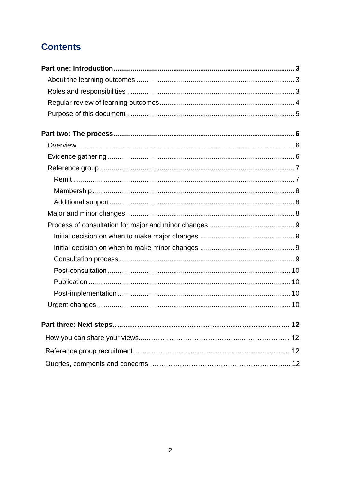# **Contents**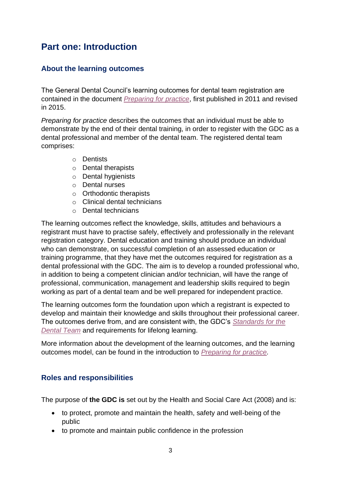# <span id="page-2-0"></span>**Part one: Introduction**

### <span id="page-2-1"></span>**About the learning outcomes**

The General Dental Council's learning outcomes for dental team registration are contained in the document *[Preparing for practice](https://www.gdc-uk.org/docs/default-source/ore-part-2/preparing-for-practice-(revised-2015).pdf?sfvrsn=2a7660b9_2)*, first published in 2011 and revised in 2015.

*Preparing for practice* describes the outcomes that an individual must be able to demonstrate by the end of their dental training, in order to register with the GDC as a dental professional and member of the dental team. The registered dental team comprises:

- o Dentists
- o Dental therapists
- o Dental hygienists
- o Dental nurses
- o Orthodontic therapists
- o Clinical dental technicians
- o Dental technicians

The learning outcomes reflect the knowledge, skills, attitudes and behaviours a registrant must have to practise safely, effectively and professionally in the relevant registration category. Dental education and training should produce an individual who can demonstrate, on successful completion of an assessed education or training programme, that they have met the outcomes required for registration as a dental professional with the GDC. The aim is to develop a rounded professional who, in addition to being a competent clinician and/or technician, will have the range of professional, communication, management and leadership skills required to begin working as part of a dental team and be well prepared for independent practice.

The learning outcomes form the foundation upon which a registrant is expected to develop and maintain their knowledge and skills throughout their professional career. The outcomes derive from, and are consistent with, the GDC's *[Standards for the](https://www.gdc-uk.org/information-standards-guidance/standards-and-guidance/standards-for-the-dental-team)  [Dental Team](https://standards.gdc-uk.org/)* and requirements for lifelong learning.

More information about the development of the learning outcomes, and the learning outcomes model, can be found in the introduction to *[Preparing for practice.](https://www.gdc-uk.org/docs/default-source/ore-part-2/preparing-for-practice-(revised-2015).pdf?sfvrsn=2a7660b9_2)*

# <span id="page-2-2"></span>**Roles and responsibilities**

The purpose of **the GDC is** set out by the Health and Social Care Act (2008) and is:

- to protect, promote and maintain the health, safety and well-being of the public
- to promote and maintain public confidence in the profession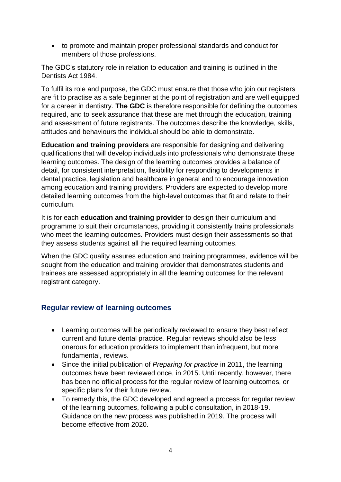• to promote and maintain proper professional standards and conduct for members of those professions.

The GDC's statutory role in relation to education and training is outlined in the Dentists Act 1984.

To fulfil its role and purpose, the GDC must ensure that those who join our registers are fit to practise as a safe beginner at the point of registration and are well equipped for a career in dentistry. **The GDC** is therefore responsible for defining the outcomes required, and to seek assurance that these are met through the education, training and assessment of future registrants. The outcomes describe the knowledge, skills, attitudes and behaviours the individual should be able to demonstrate.

**Education and training providers** are responsible for designing and delivering qualifications that will develop individuals into professionals who demonstrate these learning outcomes. The design of the learning outcomes provides a balance of detail, for consistent interpretation, flexibility for responding to developments in dental practice, legislation and healthcare in general and to encourage innovation among education and training providers. Providers are expected to develop more detailed learning outcomes from the high-level outcomes that fit and relate to their curriculum.

It is for each **education and training provider** to design their curriculum and programme to suit their circumstances, providing it consistently trains professionals who meet the learning outcomes. Providers must design their assessments so that they assess students against all the required learning outcomes.

When the GDC quality assures education and training programmes, evidence will be sought from the education and training provider that demonstrates students and trainees are assessed appropriately in all the learning outcomes for the relevant registrant category.

# <span id="page-3-0"></span>**Regular review of learning outcomes**

- Learning outcomes will be periodically reviewed to ensure they best reflect current and future dental practice. Regular reviews should also be less onerous for education providers to implement than infrequent, but more fundamental, reviews.
- Since the initial publication of *Preparing for practice* in 2011, the learning outcomes have been reviewed once, in 2015. Until recently, however, there has been no official process for the regular review of learning outcomes, or specific plans for their future review.
- To remedy this, the GDC developed and agreed a process for regular review of the learning outcomes, following a public consultation, in 2018-19. Guidance on the new process was published in 2019. The process will become effective from 2020.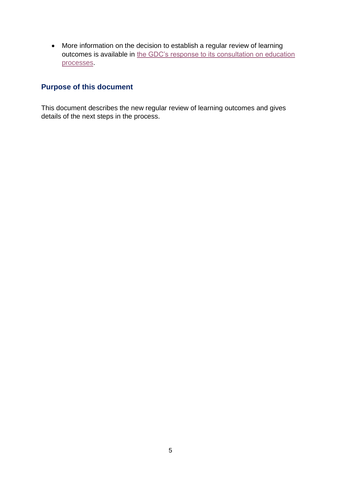• More information on the decision to establish a regular review of learning outcomes is available in [the GDC's response to its consultation on education](https://www.gdc-uk.org/docs/default-source/consultations-and-responses/335722---gdc-consultation-report-final.pdf?sfvrsn=a34d7041_2)  [processes.](https://www.gdc-uk.org/docs/default-source/consultations-and-responses/335722---gdc-consultation-report-final.pdf?sfvrsn=a34d7041_2)

# <span id="page-4-0"></span>**Purpose of this document**

This document describes the new regular review of learning outcomes and gives details of the next steps in the process.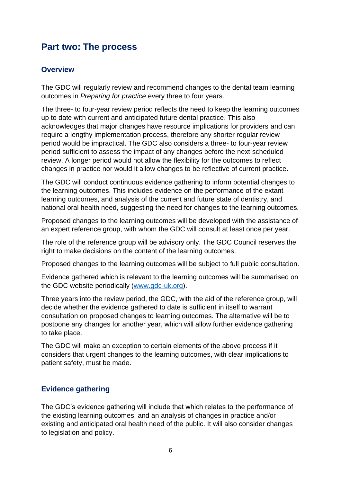# <span id="page-5-0"></span>**Part two: The process**

### <span id="page-5-1"></span>**Overview**

The GDC will regularly review and recommend changes to the dental team learning outcomes in *Preparing for practice* every three to four years.

The three- to four-year review period reflects the need to keep the learning outcomes up to date with current and anticipated future dental practice. This also acknowledges that major changes have resource implications for providers and can require a lengthy implementation process, therefore any shorter regular review period would be impractical. The GDC also considers a three- to four-year review period sufficient to assess the impact of any changes before the next scheduled review. A longer period would not allow the flexibility for the outcomes to reflect changes in practice nor would it allow changes to be reflective of current practice.

The GDC will conduct continuous evidence gathering to inform potential changes to the learning outcomes. This includes evidence on the performance of the extant learning outcomes, and analysis of the current and future state of dentistry, and national oral health need, suggesting the need for changes to the learning outcomes.

Proposed changes to the learning outcomes will be developed with the assistance of an expert reference group, with whom the GDC will consult at least once per year.

The role of the reference group will be advisory only. The GDC Council reserves the right to make decisions on the content of the learning outcomes.

Proposed changes to the learning outcomes will be subject to full public consultation.

Evidence gathered which is relevant to the learning outcomes will be summarised on the GDC website periodically [\(www.gdc-uk.org\)](http://www.gdc-uk.org/).

Three years into the review period, the GDC, with the aid of the reference group, will decide whether the evidence gathered to date is sufficient in itself to warrant consultation on proposed changes to learning outcomes. The alternative will be to postpone any changes for another year, which will allow further evidence gathering to take place.

The GDC will make an exception to certain elements of the above process if it considers that urgent changes to the learning outcomes, with clear implications to patient safety, must be made.

# <span id="page-5-2"></span>**Evidence gathering**

The GDC's evidence gathering will include that which relates to the performance of the existing learning outcomes, and an analysis of changes in practice and/or existing and anticipated oral health need of the public. It will also consider changes to legislation and policy.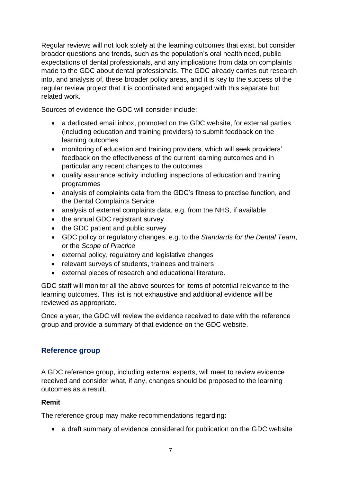Regular reviews will not look solely at the learning outcomes that exist, but consider broader questions and trends, such as the population's oral health need, public expectations of dental professionals, and any implications from data on complaints made to the GDC about dental professionals. The GDC already carries out research into, and analysis of, these broader policy areas, and it is key to the success of the regular review project that it is coordinated and engaged with this separate but related work.

Sources of evidence the GDC will consider include:

- a dedicated email inbox, promoted on the GDC website, for external parties (including education and training providers) to submit feedback on the learning outcomes
- monitoring of education and training providers, which will seek providers' feedback on the effectiveness of the current learning outcomes and in particular any recent changes to the outcomes
- quality assurance activity including inspections of education and training programmes
- analysis of complaints data from the GDC's fitness to practise function, and the Dental Complaints Service
- analysis of external complaints data, e.g. from the NHS, if available
- the annual GDC registrant survey
- the GDC patient and public survey
- GDC policy or regulatory changes, e.g. to the *Standards for the Dental Team*, or the *Scope of Practice*
- external policy, regulatory and legislative changes
- relevant surveys of students, trainees and trainers
- external pieces of research and educational literature.

GDC staff will monitor all the above sources for items of potential relevance to the learning outcomes. This list is not exhaustive and additional evidence will be reviewed as appropriate.

Once a year, the GDC will review the evidence received to date with the reference group and provide a summary of that evidence on the GDC website.

# <span id="page-6-0"></span>**Reference group**

A GDC reference group, including external experts, will meet to review evidence received and consider what, if any, changes should be proposed to the learning outcomes as a result.

#### <span id="page-6-1"></span>**Remit**

The reference group may make recommendations regarding:

• a draft summary of evidence considered for publication on the GDC website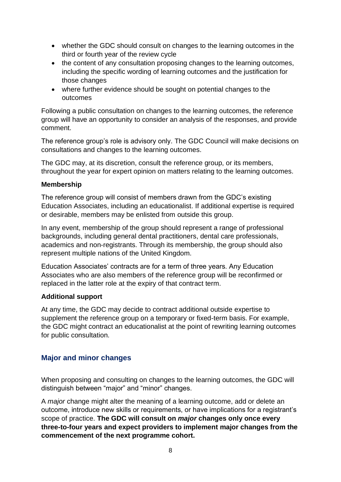- whether the GDC should consult on changes to the learning outcomes in the third or fourth year of the review cycle
- the content of any consultation proposing changes to the learning outcomes, including the specific wording of learning outcomes and the justification for those changes
- where further evidence should be sought on potential changes to the outcomes

Following a public consultation on changes to the learning outcomes, the reference group will have an opportunity to consider an analysis of the responses, and provide comment.

The reference group's role is advisory only. The GDC Council will make decisions on consultations and changes to the learning outcomes.

The GDC may, at its discretion, consult the reference group, or its members, throughout the year for expert opinion on matters relating to the learning outcomes.

#### <span id="page-7-0"></span>**Membership**

The reference group will consist of members drawn from the GDC's existing Education Associates, including an educationalist. If additional expertise is required or desirable, members may be enlisted from outside this group.

In any event, membership of the group should represent a range of professional backgrounds, including general dental practitioners, dental care professionals, academics and non-registrants. Through its membership, the group should also represent multiple nations of the United Kingdom.

Education Associates' contracts are for a term of three years. Any Education Associates who are also members of the reference group will be reconfirmed or replaced in the latter role at the expiry of that contract term.

#### <span id="page-7-1"></span>**Additional support**

At any time, the GDC may decide to contract additional outside expertise to supplement the reference group on a temporary or fixed-term basis. For example, the GDC might contract an educationalist at the point of rewriting learning outcomes for public consultation.

#### <span id="page-7-2"></span>**Major and minor changes**

When proposing and consulting on changes to the learning outcomes, the GDC will distinguish between "major" and "minor" changes.

A *major* change might alter the meaning of a learning outcome, add or delete an outcome, introduce new skills or requirements, or have implications for a registrant's scope of practice. **The GDC will consult on** *major* **changes only once every three-to-four years and expect providers to implement major changes from the commencement of the next programme cohort.**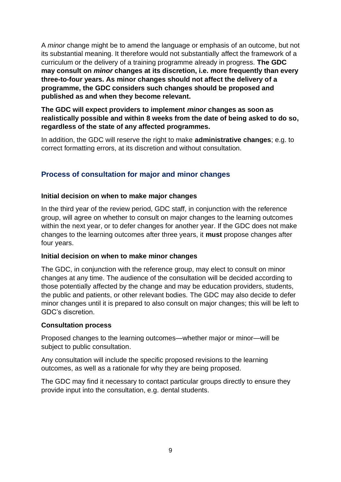A *minor* change might be to amend the language or emphasis of an outcome, but not its substantial meaning. It therefore would not substantially affect the framework of a curriculum or the delivery of a training programme already in progress. **The GDC may consult on** *minor* **changes at its discretion, i.e. more frequently than every three-to-four years. As minor changes should not affect the delivery of a programme, the GDC considers such changes should be proposed and published as and when they become relevant.** 

**The GDC will expect providers to implement** *minor* **changes as soon as realistically possible and within 8 weeks from the date of being asked to do so, regardless of the state of any affected programmes.**

In addition, the GDC will reserve the right to make **administrative changes**; e.g. to correct formatting errors, at its discretion and without consultation.

# <span id="page-8-0"></span>**Process of consultation for major and minor changes**

#### <span id="page-8-1"></span>**Initial decision on when to make major changes**

In the third year of the review period, GDC staff, in conjunction with the reference group, will agree on whether to consult on major changes to the learning outcomes within the next year, or to defer changes for another year. If the GDC does not make changes to the learning outcomes after three years, it **must** propose changes after four years.

#### <span id="page-8-2"></span>**Initial decision on when to make minor changes**

The GDC, in conjunction with the reference group, may elect to consult on minor changes at any time. The audience of the consultation will be decided according to those potentially affected by the change and may be education providers, students, the public and patients, or other relevant bodies. The GDC may also decide to defer minor changes until it is prepared to also consult on major changes; this will be left to GDC's discretion.

#### <span id="page-8-3"></span>**Consultation process**

Proposed changes to the learning outcomes—whether major or minor—will be subject to public consultation.

Any consultation will include the specific proposed revisions to the learning outcomes, as well as a rationale for why they are being proposed.

<span id="page-8-4"></span>The GDC may find it necessary to contact particular groups directly to ensure they provide input into the consultation, e.g. dental students.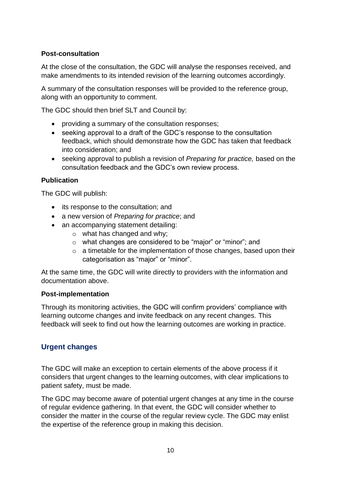### **Post-consultation**

At the close of the consultation, the GDC will analyse the responses received, and make amendments to its intended revision of the learning outcomes accordingly.

A summary of the consultation responses will be provided to the reference group, along with an opportunity to comment.

The GDC should then brief SLT and Council by:

- providing a summary of the consultation responses;
- seeking approval to a draft of the GDC's response to the consultation feedback, which should demonstrate how the GDC has taken that feedback into consideration; and
- seeking approval to publish a revision of *Preparing for practice,* based on the consultation feedback and the GDC's own review process.

#### <span id="page-9-0"></span>**Publication**

The GDC will publish:

- its response to the consultation; and
- a new version of *Preparing for practice*; and
- an accompanying statement detailing:
	- o what has changed and why;
	- o what changes are considered to be "major" or "minor"; and
	- $\circ$  a timetable for the implementation of those changes, based upon their categorisation as "major" or "minor".

At the same time, the GDC will write directly to providers with the information and documentation above.

#### <span id="page-9-1"></span>**Post-implementation**

Through its monitoring activities, the GDC will confirm providers' compliance with learning outcome changes and invite feedback on any recent changes. This feedback will seek to find out how the learning outcomes are working in practice.

# <span id="page-9-2"></span>**Urgent changes**

The GDC will make an exception to certain elements of the above process if it considers that urgent changes to the learning outcomes, with clear implications to patient safety, must be made.

The GDC may become aware of potential urgent changes at any time in the course of regular evidence gathering. In that event, the GDC will consider whether to consider the matter in the course of the regular review cycle. The GDC may enlist the expertise of the reference group in making this decision.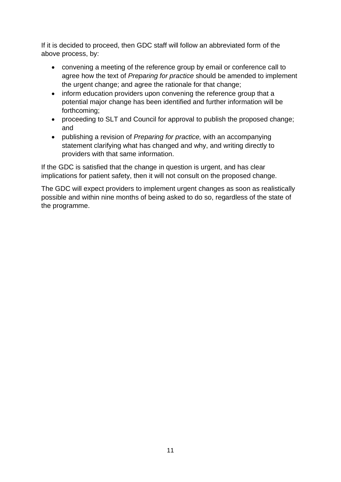If it is decided to proceed, then GDC staff will follow an abbreviated form of the above process, by:

- convening a meeting of the reference group by email or conference call to agree how the text of *Preparing for practice* should be amended to implement the urgent change; and agree the rationale for that change;
- inform education providers upon convening the reference group that a potential major change has been identified and further information will be forthcoming;
- proceeding to SLT and Council for approval to publish the proposed change; and
- publishing a revision of *Preparing for practice,* with an accompanying statement clarifying what has changed and why, and writing directly to providers with that same information.

If the GDC is satisfied that the change in question is urgent, and has clear implications for patient safety, then it will not consult on the proposed change.

The GDC will expect providers to implement urgent changes as soon as realistically possible and within nine months of being asked to do so, regardless of the state of the programme.